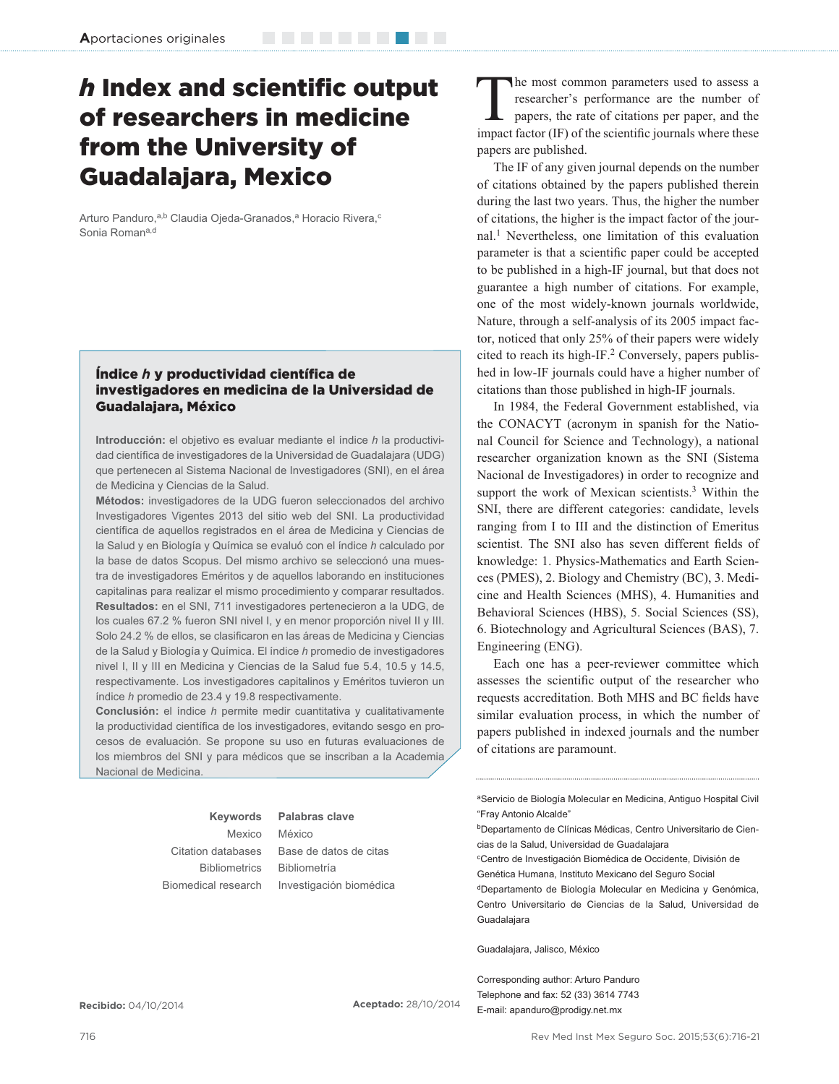# *h* Index and scientific output of researchers in medicine from the University of Guadalajara, Mexico

Arturo Panduro,<sup>a,b</sup> Claudia Ojeda-Granados,<sup>a</sup> Horacio Rivera,<sup>c</sup> Sonia Roman<sup>a,d</sup>

## **Índice h y productividad científica de** investigadores en medicina de la Universidad de Guadalajara, México

**Introducción:** el objetivo es evaluar mediante el índice *h* la productividad científica de investigadores de la Universidad de Guadalajara (UDG) que pertenecen al Sistema Nacional de Investigadores (SNI), en el área de Medicina y Ciencias de la Salud.

**Métodos:** investigadores de la UDG fueron seleccionados del archivo Investigadores Vigentes 2013 del sitio web del SNI. La productividad científica de aquellos registrados en el área de Medicina y Ciencias de la Salud y en Biología y Química se evaluó con el índice *h* calculado por la base de datos Scopus. Del mismo archivo se seleccionó una muestra de investigadores Eméritos y de aquellos laborando en instituciones capitalinas para realizar el mismo procedimiento y comparar resultados. **Resultados:** en el SNI, 711 investigadores pertenecieron a la UDG, de los cuales 67.2 % fueron SNI nivel I, y en menor proporción nivel II y III. Solo 24.2 % de ellos, se clasificaron en las áreas de Medicina y Ciencias de la Salud y Biología y Química. El índice *h* promedio de investigadores nivel I, II y III en Medicina y Ciencias de la Salud fue 5.4, 10.5 y 14.5, respectivamente. Los investigadores capitalinos y Eméritos tuvieron un índice *h* promedio de 23.4 y 19.8 respectivamente.

**Conclusión:** el índice *h* permite medir cuantitativa y cualitativamente la productividad científica de los investigadores, evitando sesgo en procesos de evaluación. Se propone su uso en futuras evaluaciones de los miembros del SNI y para médicos que se inscriban a la Academia Nacional de Medicina.

> **Keywords** Mexico Citation databases **Bibliometrics**

Biomedical research

México Base de datos de citas Bibliometría Investigación biomédica

**Palabras clave**

The most common parameters used to assess a researcher's performance are the number of papers, the rate of citations per paper, and the impact factor (IF) of the scientific journals where these papers are published.

The IF of any given journal depends on the number of citations obtained by the papers published therein during the last two years. Thus, the higher the number of citations, the higher is the impact factor of the journal.<sup>1</sup> Nevertheless, one limitation of this evaluation parameter is that a scientific paper could be accepted to be published in a high-IF journal, but that does not guarantee a high number of citations. For example, one of the most widely-known journals worldwide, Nature, through a self-analysis of its 2005 impact factor, noticed that only 25% of their papers were widely cited to reach its high-IF.<sup>2</sup> Conversely, papers published in low-IF journals could have a higher number of citations than those published in high-IF journals.

In 1984, the Federal Government established, via the CONACYT (acronym in spanish for the National Council for Science and Technology), a national researcher organization known as the SNI (Sistema Nacional de Investigadores) in order to recognize and support the work of Mexican scientists.<sup>3</sup> Within the SNI, there are different categories: candidate, levels ranging from I to III and the distinction of Emeritus scientist. The SNI also has seven different fields of knowledge: 1. Physics-Mathematics and Earth Sciences (PMES), 2. Biology and Chemistry (BC), 3. Medicine and Health Sciences (MHS), 4. Humanities and Behavioral Sciences (HBS), 5. Social Sciences (SS), 6. Biotechnology and Agricultural Sciences (BAS), 7. Engineering (ENG).

Each one has a peer-reviewer committee which assesses the scientific output of the researcher who requests accreditation. Both MHS and BC fields have similar evaluation process, in which the number of papers published in indexed journals and the number of citations are paramount.

aServicio de Biología Molecular en Medicina, Antiguo Hospital Civil "Fray Antonio Alcalde"

bDepartamento de Clínicas Médicas, Centro Universitario de Ciencias de la Salud, Universidad de Guadalajara

cCentro de Investigación Biomédica de Occidente, División de Genética Humana, Instituto Mexicano del Seguro Social dDepartamento de Biología Molecular en Medicina y Genómica, Centro Universitario de Ciencias de la Salud, Universidad de **Guadalajara** 

Guadalajara, Jalisco, México

Corresponding author: Arturo Panduro Telephone and fax: 52 (33) 3614 7743 E-mail: apanduro@prodigy.net.mx

**Recibido:** 04/10/2014 **Aceptado:** 28/10/2014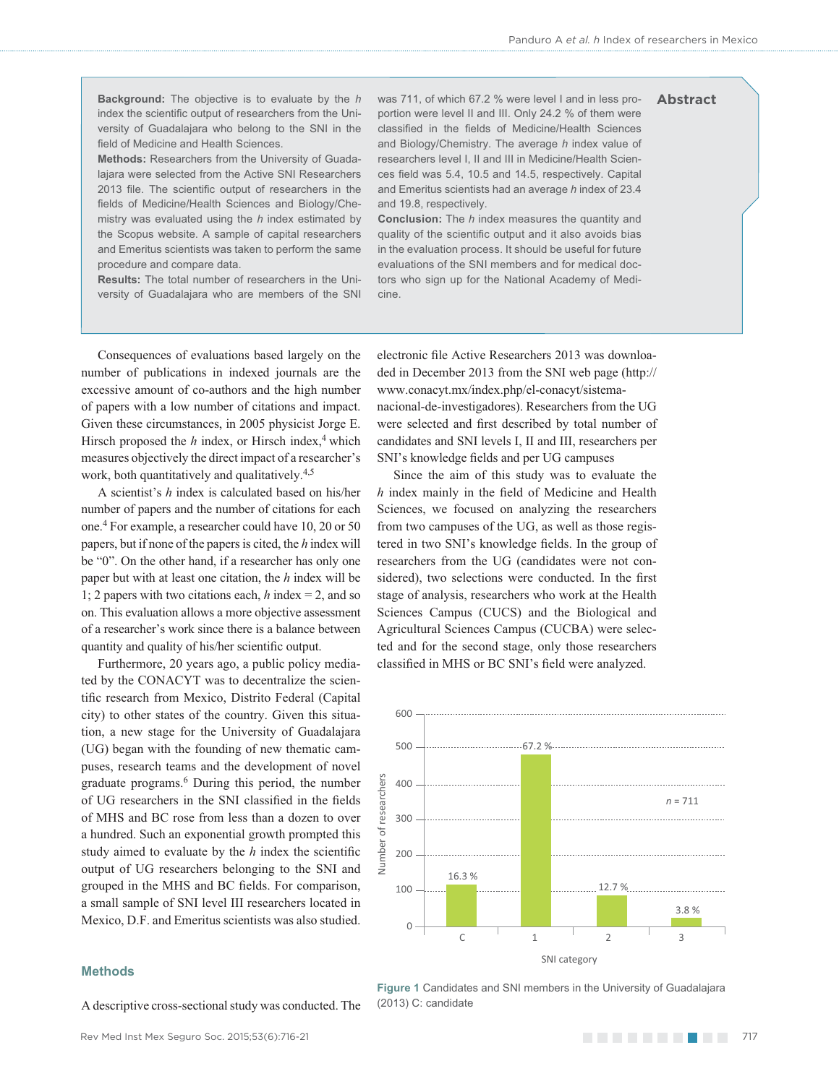**Abstract**

**Background:** The objective is to evaluate by the *h* index the scientific output of researchers from the University of Guadalajara who belong to the SNI in the field of Medicine and Health Sciences.

**Methods:** Researchers from the University of Guadalajara were selected from the Active SNI Researchers 2013 file. The scientific output of researchers in the fields of Medicine/Health Sciences and Biology/Chemistry was evaluated using the *h* index estimated by the Scopus website. A sample of capital researchers and Emeritus scientists was taken to perform the same procedure and compare data.

**Results:** The total number of researchers in the University of Guadalajara who are members of the SNI

was 711, of which 67.2 % were level I and in less proportion were level II and III. Only 24.2 % of them were classified in the fields of Medicine/Health Sciences and Biology/Chemistry. The average *h* index value of researchers level I, II and III in Medicine/Health Sciences field was 5.4, 10.5 and 14.5, respectively. Capital and Emeritus scientists had an average *h* index of 23.4 and 19.8, respectively.

**Conclusion:** The *h* index measures the quantity and quality of the scientific output and it also avoids bias in the evaluation process. It should be useful for future evaluations of the SNI members and for medical doctors who sign up for the National Academy of Medicine.

electronic file Active Researchers 2013 was downloaded in December 2013 from the SNI web page (http:// www.conacyt.mx/index.php/el-conacyt/sistemanacional-de-investigadores). Researchers from the UG were selected and first described by total number of candidates and SNI levels I, II and III, researchers per

SNI's knowledge fields and per UG campuses

Since the aim of this study was to evaluate the  $h$  index mainly in the field of Medicine and Health Sciences, we focused on analyzing the researchers from two campuses of the UG, as well as those registered in two SNI's knowledge fields. In the group of researchers from the UG (candidates were not considered), two selections were conducted. In the first stage of analysis, researchers who work at the Health Sciences Campus (CUCS) and the Biological and Agricultural Sciences Campus (CUCBA) were selected and for the second stage, only those researchers classified in MHS or BC SNI's field were analyzed.

Consequences of evaluations based largely on the number of publications in indexed journals are the excessive amount of co-authors and the high number of papers with a low number of citations and impact. Given these circumstances, in 2005 physicist Jorge E. Hirsch proposed the  $h$  index, or Hirsch index, $4$  which measures objectively the direct impact of a researcher's work, both quantitatively and qualitatively.<sup>4,5</sup>

A scientist's *h* index is calculated based on his/her number of papers and the number of citations for each one.4 For example, a researcher could have 10, 20 or 50 papers, but if none of the papers is cited, the *h* index will be "0". On the other hand, if a researcher has only one paper but with at least one citation, the *h* index will be 1; 2 papers with two citations each, *h* index = 2, and so on. This evaluation allows a more objective assessment of a researcher's work since there is a balance between quantity and quality of his/her scientific output.

Furthermore, 20 years ago, a public policy mediated by the CONACYT was to decentralize the scientific research from Mexico, Distrito Federal (Capital city) to other states of the country. Given this situation, a new stage for the University of Guadalajara (UG) began with the founding of new thematic campuses, research teams and the development of novel graduate programs.6 During this period, the number of UG researchers in the SNI classified in the fields of MHS and BC rose from less than a dozen to over a hundred. Such an exponential growth prompted this study aimed to evaluate by the  $h$  index the scientific output of UG researchers belonging to the SNI and grouped in the MHS and BC fields. For comparison, a small sample of SNI level III researchers located in Mexico, D.F. and Emeritus scientists was also studied.

Number of researchers

ď Number

esearchers

#### **Methods**

300  $\Omega$ C 300<br>200<br>100<br>0 400 1 600 500 1008 200 2 3 67.2 % 16.3 % 3.8 % *n* = 711 12.7 %

SNI category

A descriptive cross-sectional study was conducted. The

**Figure 1** Candidates and SNI members in the University of Guadalajara (2013) C: candidate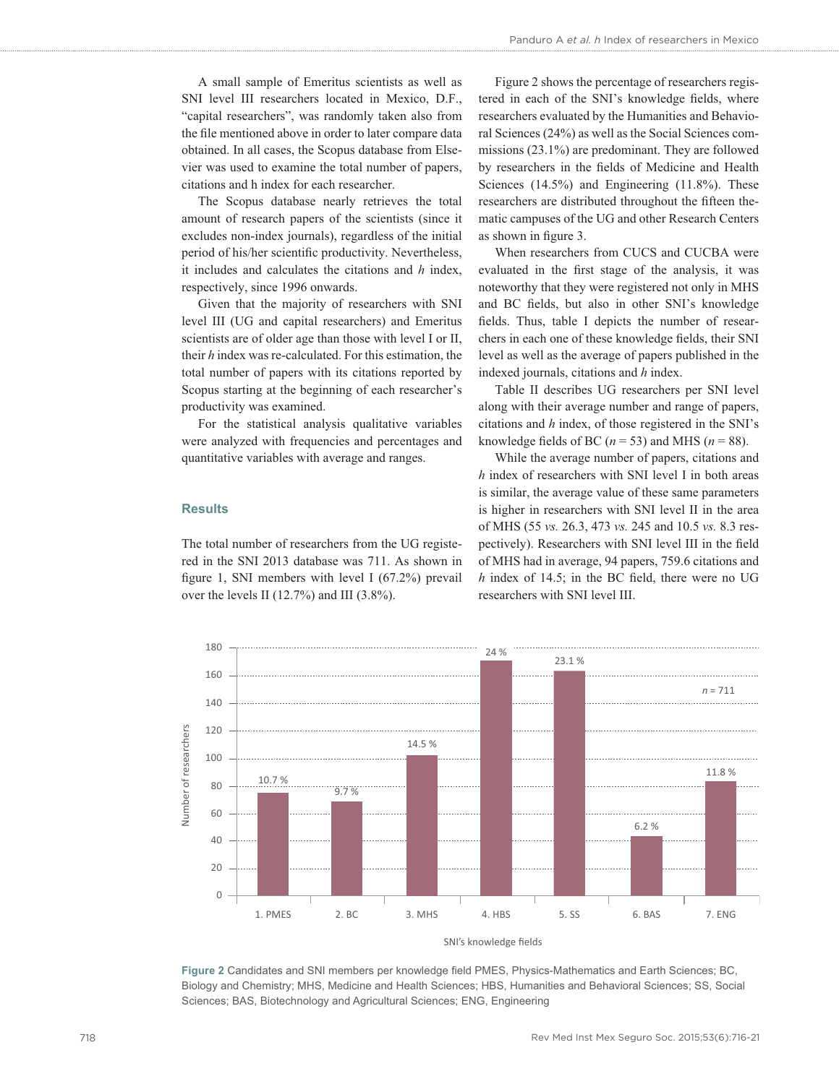A small sample of Emeritus scientists as well as SNI level III researchers located in Mexico, D.F., "capital researchers", was randomly taken also from the file mentioned above in order to later compare data obtained. In all cases, the Scopus database from Elsevier was used to examine the total number of papers, citations and h index for each researcher.

The Scopus database nearly retrieves the total amount of research papers of the scientists (since it excludes non-index journals), regardless of the initial period of his/her scientific productivity. Nevertheless, it includes and calculates the citations and *h* index, respectively, since 1996 onwards.

Given that the majority of researchers with SNI level III (UG and capital researchers) and Emeritus scientists are of older age than those with level I or II, their *h* index was re-calculated. For this estimation, the total number of papers with its citations reported by Scopus starting at the beginning of each researcher's productivity was examined.

For the statistical analysis qualitative variables were analyzed with frequencies and percentages and quantitative variables with average and ranges.

## **Results**

The total number of researchers from the UG registered in the SNI 2013 database was 711. As shown in figure 1, SNI members with level I  $(67.2\%)$  prevail over the levels II (12.7%) and III (3.8%).

Figure 2 shows the percentage of researchers registered in each of the SNI's knowledge fields, where researchers evaluated by the Humanities and Behavioral Sciences (24%) as well as the Social Sciences commissions (23.1%) are predominant. They are followed by researchers in the fields of Medicine and Health Sciences (14.5%) and Engineering (11.8%). These researchers are distributed throughout the fifteen thematic campuses of the UG and other Research Centers as shown in figure 3.

When researchers from CUCS and CUCBA were evaluated in the first stage of the analysis, it was noteworthy that they were registered not only in MHS and BC fields, but also in other SNI's knowledge fields. Thus, table I depicts the number of researchers in each one of these knowledge fields, their SNI level as well as the average of papers published in the indexed journals, citations and *h* index.

Table II describes UG researchers per SNI level along with their average number and range of papers, citations and *h* index, of those registered in the SNI's knowledge fields of BC ( $n = 53$ ) and MHS ( $n = 88$ ).

While the average number of papers, citations and *h* index of researchers with SNI level I in both areas is similar, the average value of these same parameters is higher in researchers with SNI level II in the area of MHS (55 *vs.* 26.3, 473 *vs.* 245 and 10.5 *vs.* 8.3 respectively). Researchers with SNI level III in the field of MHS had in average, 94 papers, 759.6 citations and  $h$  index of 14.5; in the BC field, there were no UG researchers with SNI level III.



SNI's knowledge fields

Figure 2 Candidates and SNI members per knowledge field PMES, Physics-Mathematics and Earth Sciences; BC, Biology and Chemistry; MHS, Medicine and Health Sciences; HBS, Humanities and Behavioral Sciences; SS, Social Sciences; BAS, Biotechnology and Agricultural Sciences; ENG, Engineering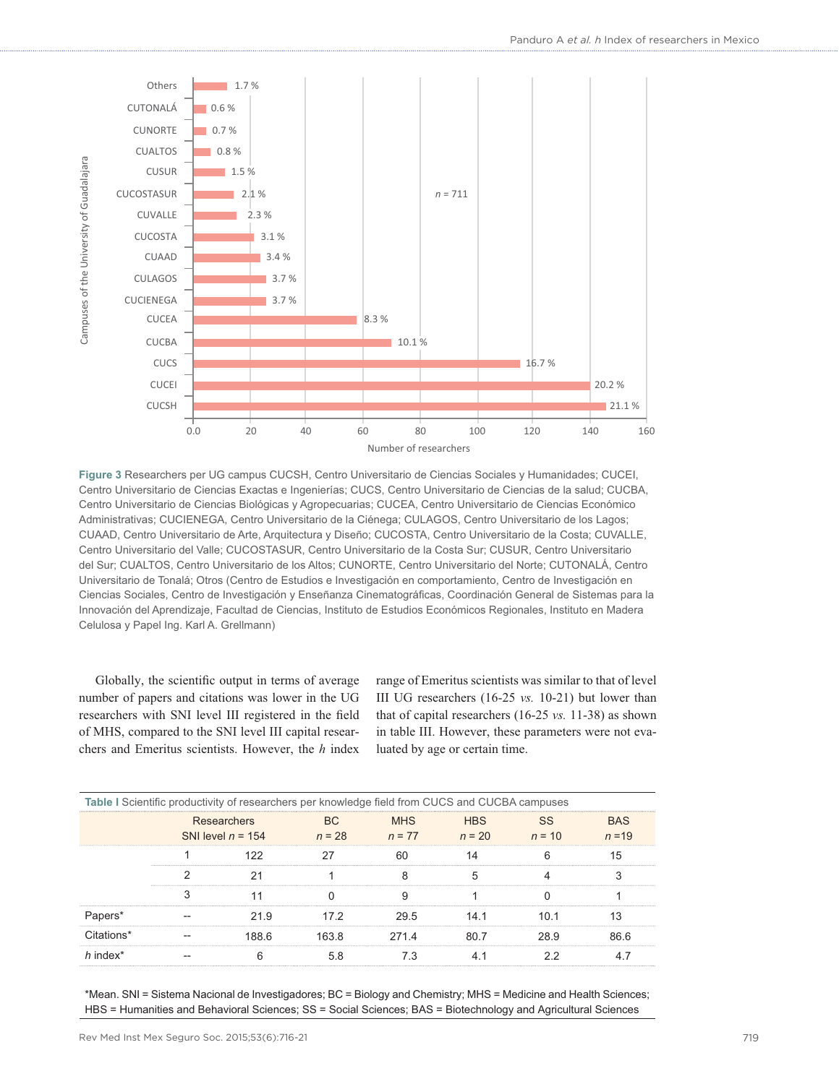

**Figure 3** Researchers per UG campus CUCSH, Centro Universitario de Ciencias Sociales y Humanidades; CUCEI, Centro Universitario de Ciencias Exactas e Ingenierías; CUCS, Centro Universitario de Ciencias de la salud; CUCBA, Centro Universitario de Ciencias Biológicas y Agropecuarias; CUCEA, Centro Universitario de Ciencias Económico Administrativas; CUCIENEGA, Centro Universitario de la Ciénega; CULAGOS, Centro Universitario de los Lagos; CUAAD, Centro Universitario de Arte, Arquitectura y Diseño; CUCOSTA, Centro Universitario de la Costa; CUVALLE, Centro Universitario del Valle; CUCOSTASUR, Centro Universitario de la Costa Sur; CUSUR, Centro Universitario del Sur; CUALTOS, Centro Universitario de los Altos; CUNORTE, Centro Universitario del Norte; CUTONALÁ, Centro Universitario de Tonalá; Otros (Centro de Estudios e Investigación en comportamiento, Centro de Investigación en Ciencias Sociales, Centro de Investigación y Enseñanza Cinematográficas, Coordinación General de Sistemas para la Innovación del Aprendizaje, Facultad de Ciencias, Instituto de Estudios Económicos Regionales, Instituto en Madera Celulosa y Papel Ing. Karl A. Grellmann)

Globally, the scientific output in terms of average number of papers and citations was lower in the UG researchers with SNI level III registered in the field of MHS, compared to the SNI level III capital researchers and Emeritus scientists. However, the *h* index

range of Emeritus scientists was similar to that of level III UG researchers (16-25 *vs.* 10-21) but lower than that of capital researchers (16-25 *vs.* 11-38) as shown in table III. However, these parameters were not evaluated by age or certain time.

|                                    | Table I Scientific productivity of researchers per knowledge field from CUCS and CUCBA campuses |        |          |  |
|------------------------------------|-------------------------------------------------------------------------------------------------|--------|----------|--|
| Researchers<br>SNI level $n = 154$ |                                                                                                 | n = 77 | $n = 20$ |  |
|                                    |                                                                                                 |        |          |  |
|                                    |                                                                                                 |        |          |  |
|                                    |                                                                                                 |        |          |  |
|                                    |                                                                                                 |        |          |  |
|                                    |                                                                                                 |        |          |  |
|                                    |                                                                                                 |        |          |  |

\*Mean. SNI = Sistema Nacional de Investigadores; BC = Biology and Chemistry; MHS = Medicine and Health Sciences; HBS = Humanities and Behavioral Sciences; SS = Social Sciences; BAS = Biotechnology and Agricultural Sciences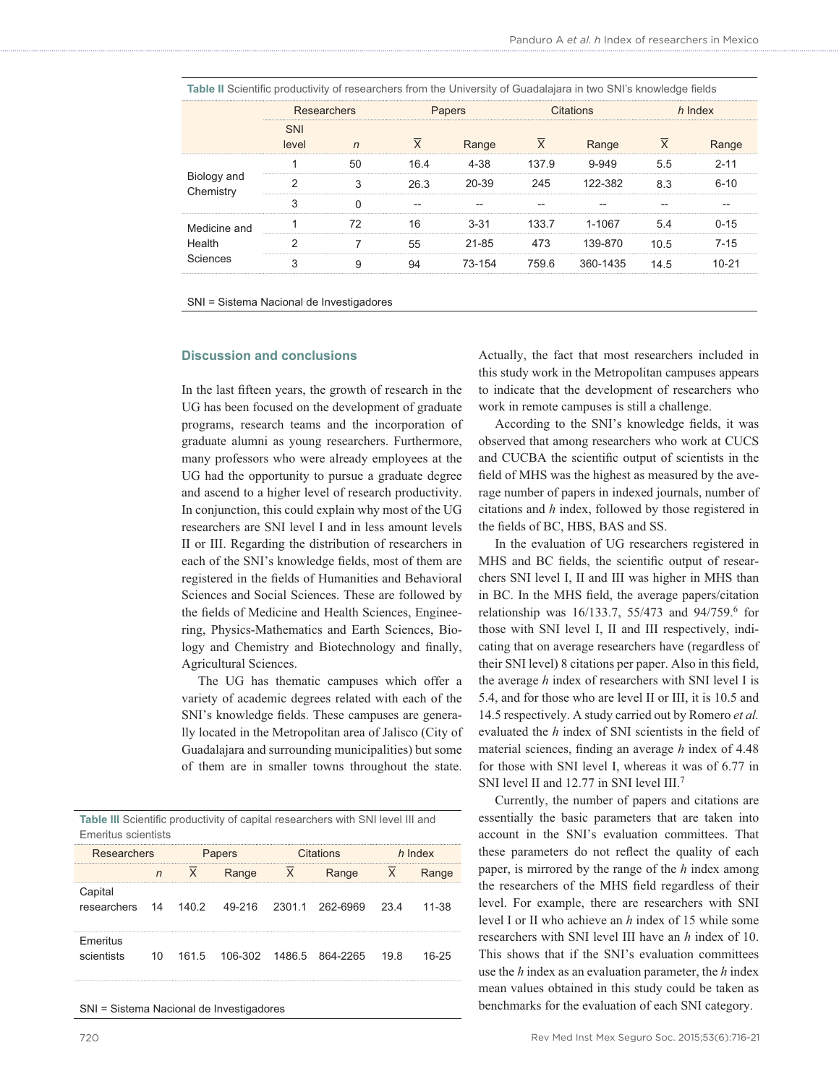| Table II Scientific productivity of researchers from the University of Guadalajara in two SNI's knowledge fields |         |  |  |  |  |  |  |  |  |
|------------------------------------------------------------------------------------------------------------------|---------|--|--|--|--|--|--|--|--|
| Researchers<br>Papers<br>Citations                                                                               | h Index |  |  |  |  |  |  |  |  |
| Range<br>Range<br>level                                                                                          | Range   |  |  |  |  |  |  |  |  |
| 4-38<br>137.9<br>55<br>16 4                                                                                      |         |  |  |  |  |  |  |  |  |
| Biology and<br>122-382<br>20-39<br>245<br>26.3<br>83<br>Chemistry                                                | 6-10    |  |  |  |  |  |  |  |  |
|                                                                                                                  |         |  |  |  |  |  |  |  |  |
| 133.7<br>1-1067<br>Medicine and                                                                                  | ገ-15    |  |  |  |  |  |  |  |  |
| Health<br>21-85<br>473<br>39-870<br>105                                                                          | $7-15$  |  |  |  |  |  |  |  |  |
| Sciences<br>759.6 360-1435<br>73-154<br>145                                                                      |         |  |  |  |  |  |  |  |  |

SNI = Sistema Nacional de Investigadores

## **Discussion and conclusions**

In the last fifteen years, the growth of research in the UG has been focused on the development of graduate programs, research teams and the incorporation of graduate alumni as young researchers. Furthermore, many professors who were already employees at the UG had the opportunity to pursue a graduate degree and ascend to a higher level of research productivity. In conjunction, this could explain why most of the UG researchers are SNI level I and in less amount levels II or III. Regarding the distribution of researchers in each of the SNI's knowledge fields, most of them are registered in the fields of Humanities and Behavioral Sciences and Social Sciences. These are followed by the fields of Medicine and Health Sciences, Engineering, Physics-Mathematics and Earth Sciences, Biology and Chemistry and Biotechnology and finally, Agricultural Sciences.

The UG has thematic campuses which offer a variety of academic degrees related with each of the SNI's knowledge fields. These campuses are generally located in the Metropolitan area of Jalisco (City of Guadalajara and surrounding municipalities) but some of them are in smaller towns throughout the state.

Table III Scientific productivity of capital researchers with SNI level III and Emeritus scientists

| <b>Researchers</b>                                          |  | Papers |       | Citations      |                                            | h Index |       |
|-------------------------------------------------------------|--|--------|-------|----------------|--------------------------------------------|---------|-------|
|                                                             |  |        | Range | $\overline{X}$ | Range                                      |         | Range |
| Capital<br>researchers 14 140.2 49-216 2301.1 262-6969 23.4 |  |        |       |                |                                            |         | 11-38 |
| Emeritus<br>scientists                                      |  |        |       |                | 10  161.5  106-302  1486.5  864-2265  19.8 |         | 16-25 |

SNI = Sistema Nacional de Investigadores

Actually, the fact that most researchers included in this study work in the Metropolitan campuses appears to indicate that the development of researchers who work in remote campuses is still a challenge.

According to the SNI's knowledge fields, it was observed that among researchers who work at CUCS and CUCBA the scientific output of scientists in the field of MHS was the highest as measured by the average number of papers in indexed journals, number of citations and *h* index, followed by those registered in the fields of BC, HBS, BAS and SS.

In the evaluation of UG researchers registered in MHS and BC fields, the scientific output of researchers SNI level I, II and III was higher in MHS than in BC. In the MHS field, the average papers/citation relationship was 16/133.7, 55/473 and 94/759.6 for those with SNI level I, II and III respectively, indicating that on average researchers have (regardless of their SNI level) 8 citations per paper. Also in this field, the average *h* index of researchers with SNI level I is 5.4, and for those who are level II or III, it is 10.5 and 14.5 respectively. A study carried out by Romero *et al.*  evaluated the *h* index of SNI scientists in the field of material sciences, finding an average *h* index of 4.48 for those with SNI level I, whereas it was of 6.77 in SNI level II and 12.77 in SNI level III.7

Currently, the number of papers and citations are essentially the basic parameters that are taken into account in the SNI's evaluation committees. That these parameters do not reflect the quality of each paper, is mirrored by the range of the *h* index among the researchers of the MHS field regardless of their level. For example, there are researchers with SNI level I or II who achieve an *h* index of 15 while some researchers with SNI level III have an *h* index of 10. This shows that if the SNI's evaluation committees use the *h* index as an evaluation parameter, the *h* index mean values obtained in this study could be taken as benchmarks for the evaluation of each SNI category.